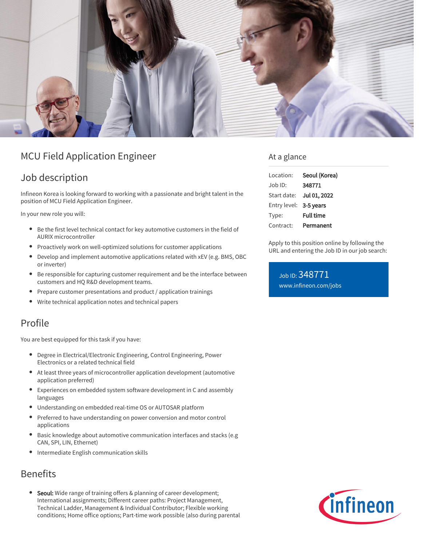

## MCU Field Application Engineer

## Job description

Infineon Korea is looking forward to working with a passionate and bright talent in the position of MCU Field Application Engineer.

In your new role you will:

- Be the first level technical contact for key automotive customers in the field of AURIX microcontroller
- Proactively work on well-optimized solutions for customer applications
- Develop and implement automotive applications related with xEV (e.g. BMS, OBC or inverter)
- Be responsible for capturing customer requirement and be the interface between customers and HQ R&D development teams.
- Prepare customer presentations and product / application trainings
- Write technical application notes and technical papers

## Profile

You are best equipped for this task if you have:

- Degree in Electrical/Electronic Engineering, Control Engineering, Power  $\bullet$ Electronics or a related technical field
- At least three years of microcontroller application development (automotive application preferred)
- Experiences on embedded system software development in C and assembly languages
- Understanding on embedded real-time OS or AUTOSAR platform
- Preferred to have understanding on power conversion and motor control applications
- Basic knowledge about automotive communication interfaces and stacks (e.g CAN, SPI, LIN, Ethernet)
- Intermediate English communication skills

## Benefits

Seoul: Wide range of training offers & planning of career development; International assignments; Different career paths: Project Management, Technical Ladder, Management & Individual Contributor; Flexible working conditions; Home office options; Part-time work possible (also during parental

### At a glance

| Location:              | Seoul (Korea)    |
|------------------------|------------------|
| Job ID:                | 348771           |
| Start date:            | Jul 01, 2022     |
| Entry level: 3-5 years |                  |
| Type:                  | <b>Full time</b> |
| Contract:              | Permanent        |

Apply to this position online by following the URL and entering the Job ID in our job search:

### Job ID: 348771 [www.infineon.com/jobs](https://www.infineon.com/jobs)